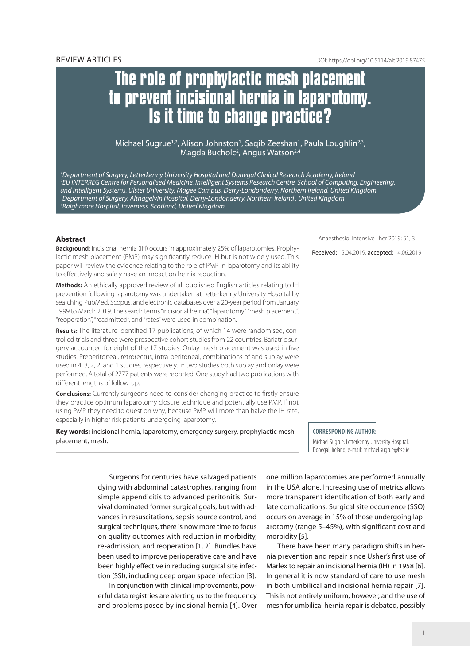# **The role of prophylactic mesh placement to prevent incisional hernia in laparotomy. Is it time to change practice?**

Michael Sugrue<sup>1,2</sup>, Alison Johnston<sup>1</sup>, Saqib Zeeshan<sup>1</sup>, Paula Loughlin<sup>2,3</sup>, Magda Bucholc<sup>2</sup>, Angus Watson<sup>2,4</sup>

 *Department of Surgery, Letterkenny University Hospital and Donegal Clinical Research Academy, Ireland EU INTERREG Centre for Personalised Medicine, Intelligent Systems Research Centre, School of Computing, Engineering, and Intelligent Systems, Ulster University, Magee Campus, Derry-Londonderry, Northern Ireland, United Kingdom Department of Surgery, Altnagelvin Hospital, Derry-Londonderry, Northern Ireland , United Kingdom Raighmore Hospital, Inverness, Scotland, United Kingdom* 

## **Abstract**

**Background:** Incisional hernia (IH) occurs in approximately 25% of laparotomies. Prophylactic mesh placement (PMP) may significantly reduce IH but is not widely used. This paper will review the evidence relating to the role of PMP in laparotomy and its ability to effectively and safely have an impact on hernia reduction.

**Methods:** An ethically approved review of all published English articles relating to IH prevention following laparotomy was undertaken at Letterkenny University Hospital by searching PubMed, Scopus, and electronic databases over a 20-year period from January 1999 to March 2019. The search terms "incisional hernia", "laparotomy", "mesh placement", "reoperation", "readmitted", and "rates" were used in combination.

**Results:** The literature identified 17 publications, of which 14 were randomised, controlled trials and three were prospective cohort studies from 22 countries. Bariatric surgery accounted for eight of the 17 studies. Onlay mesh placement was used in five studies. Preperitoneal, retrorectus, intra-peritoneal, combinations of and sublay were used in 4, 3, 2, 2, and 1 studies, respectively. In two studies both sublay and onlay were performed. A total of 2777 patients were reported. One study had two publications with different lengths of follow-up.

**Conclusions:** Currently surgeons need to consider changing practice to firstly ensure they practice optimum laparotomy closure technique and potentially use PMP. If not using PMP they need to question why, because PMP will more than halve the IH rate, especially in higher risk patients undergoing laparotomy.

**Key words:** incisional hernia, laparotomy, emergency surgery, prophylactic mesh placement, mesh.

Anaesthesiol Intensive Ther 2019; 51, 3

Received: 15.04.2019, accepted: 14.06.2019

#### **CORRESPONDING AUTHOR:**

Michael Sugrue, Letterkenny University Hospital, Donegal, Ireland, e-mail: michael.sugrue@hse.ie

Surgeons for centuries have salvaged patients dying with abdominal catastrophes, ranging from simple appendicitis to advanced peritonitis. Survival dominated former surgical goals, but with advances in resuscitations, sepsis source control, and surgical techniques, there is now more time to focus on quality outcomes with reduction in morbidity, re-admission, and reoperation [1, 2]. Bundles have been used to improve perioperative care and have been highly effective in reducing surgical site infection (SSI), including deep organ space infection [3].

In conjunction with clinical improvements, powerful data registries are alerting us to the frequency and problems posed by incisional hernia [4]. Over one million laparotomies are performed annually in the USA alone. Increasing use of metrics allows more transparent identification of both early and late complications. Surgical site occurrence (SSO) occurs on average in 15% of those undergoing laparotomy (range 5–45%), with significant cost and morbidity [5].

There have been many paradigm shifts in hernia prevention and repair since Usher's first use of Marlex to repair an incisional hernia (IH) in 1958 [6]. In general it is now standard of care to use mesh in both umbilical and incisional hernia repair [7]. This is not entirely uniform, however, and the use of mesh for umbilical hernia repair is debated, possibly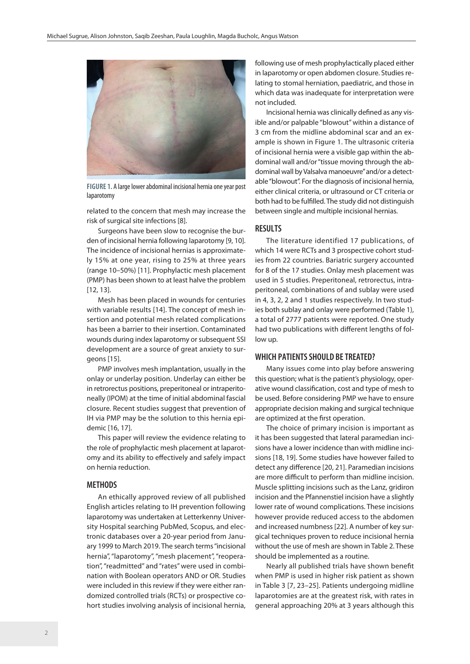

**FIGURE 1.** A large lower abdominal incisional hernia one year post laparotomy

related to the concern that mesh may increase the risk of surgical site infections [8].

Surgeons have been slow to recognise the burden of incisional hernia following laparotomy [9, 10]. The incidence of incisional hernias is approximately 15% at one year, rising to 25% at three years (range 10–50%) [11]. Prophylactic mesh placement (PMP) has been shown to at least halve the problem [12, 13].

Mesh has been placed in wounds for centuries with variable results [14]. The concept of mesh insertion and potential mesh related complications has been a barrier to their insertion. Contaminated wounds during index laparotomy or subsequent SSI development are a source of great anxiety to surgeons [15].

PMP involves mesh implantation, usually in the onlay or underlay position. Underlay can either be in retrorectus positions, preperitoneal or intraperitoneally (IPOM) at the time of initial abdominal fascial closure. Recent studies suggest that prevention of IH via PMP may be the solution to this hernia epidemic [16, 17].

This paper will review the evidence relating to the role of prophylactic mesh placement at laparotomy and its ability to effectively and safely impact on hernia reduction.

#### **METHODS**

An ethically approved review of all published English articles relating to IH prevention following laparotomy was undertaken at Letterkenny University Hospital searching PubMed, Scopus, and electronic databases over a 20-year period from January 1999 to March 2019. The search terms "incisional hernia", "laparotomy", "mesh placement", "reoperation", "readmitted" and "rates" were used in combination with Boolean operators AND or OR. Studies were included in this review if they were either randomized controlled trials(RCTs) or prospective cohort studies involving analysis of incisional hernia, following use of mesh prophylactically placed either in laparotomy or open abdomen closure. Studies relating to stomal herniation, paediatric, and those in which data was inadequate for interpretation were not included.

Incisional hernia was clinically defined as any visible and/or palpable "blowout" within a distance of 3 cm from the midline abdominal scar and an example is shown in Figure 1. The ultrasonic criteria of incisional hernia were a visible gap within the abdominal wall and/or ''tissue moving through the abdominal wall by Valsalva manoeuvre'' and/or a detectable ''blowout''. For the diagnosis of incisional hernia, either clinical criteria, or ultrasound or CT criteria or both had to be fulfilled. The study did not distinguish between single and multiple incisional hernias.

## **RESULTS**

The literature identified 17 publications, of which 14 were RCTs and 3 prospective cohort studies from 22 countries. Bariatric surgery accounted for 8 of the 17 studies. Onlay mesh placement was used in 5 studies. Preperitoneal, retrorectus, intraperitoneal, combinations of and sublay were used in 4, 3, 2, 2 and 1 studies respectively. In two studies both sublay and onlay were performed (Table 1), a total of 2777 patients were reported. One study had two publications with different lengths of follow up.

## **WHICH PATIENTS SHOULD BE TREATED?**

Many issues come into play before answering this question; what is the patient's physiology, operative wound classification, cost and type of mesh to be used. Before considering PMP we have to ensure appropriate decision making and surgical technique are optimized at the first operation.

The choice of primary incision is important as it has been suggested that lateral paramedian incisions have a lower incidence than with midline incisions [18, 19]. Some studies have however failed to detect any difference [20, 21]. Paramedian incisions are more difficult to perform than midline incision. Muscle splitting incisions such as the Lanz, gridiron incision and the Pfannenstiel incision have a slightly lower rate of wound complications. These incisions however provide reduced access to the abdomen and increased numbness [22]. A number of key surgical techniques proven to reduce incisional hernia without the use of mesh are shown in Table 2. These should be implemented as a routine.

Nearly all published trials have shown benefit when PMP is used in higher risk patient as shown in Table 3 [7, 23–25]. Patients undergoing midline laparotomies are at the greatest risk, with rates in general approaching 20% at 3 years although this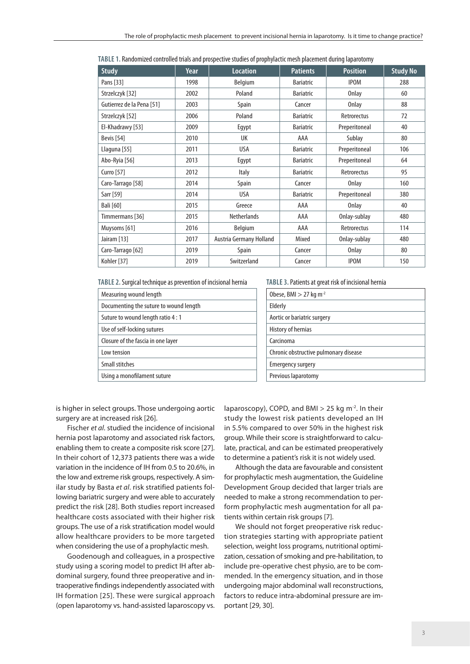| TABLE 1. Randomized controlled trials and prospective studies of prophylactic mesh placement during laparotomy |  |
|----------------------------------------------------------------------------------------------------------------|--|
|----------------------------------------------------------------------------------------------------------------|--|

| <b>Study</b>              | Year | <b>Location</b>         | <b>Patients</b>  | <b>Position</b> | <b>Study No</b> |
|---------------------------|------|-------------------------|------------------|-----------------|-----------------|
| Pans [33]                 | 1998 | Belgium                 | <b>Bariatric</b> | <b>IPOM</b>     | 288             |
| Strzelczyk [32]           | 2002 | Poland                  | <b>Bariatric</b> | Onlay           | 60              |
| Gutierrez de la Pena [51] | 2003 | Spain                   | Cancer           | Onlay           | 88              |
| Strzelczyk [52]           | 2006 | Poland                  | <b>Bariatric</b> | Retrorectus     | 72              |
| El-Khadrawy [53]          | 2009 | Egypt                   | <b>Bariatric</b> | Preperitoneal   | 40              |
| <b>Bevis</b> [54]         | 2010 | UK                      | AAA              | Sublay          | 80              |
| Llaguna [55]              | 2011 | USA                     | <b>Bariatric</b> | Preperitoneal   | 106             |
| Abo-Ryia [56]             | 2013 | Egypt                   | <b>Bariatric</b> | Preperitoneal   | 64              |
| Curro [57]                | 2012 | <b>Italy</b>            | <b>Bariatric</b> | Retrorectus     | 95              |
| Caro-Tarrago [58]         | 2014 | Spain                   | Cancer           | Onlay           | 160             |
| Sarr [59]                 | 2014 | <b>USA</b>              | <b>Bariatric</b> | Preperitoneal   | 380             |
| <b>Bali</b> [60]          | 2015 | Greece                  | AAA              | Onlay           | 40              |
| Timmermans [36]           | 2015 | <b>Netherlands</b>      | AAA              | Onlay-sublay    | 480             |
| Muysoms [61]              | 2016 | Belgium                 | AAA              | Retrorectus     | 114             |
| Jairam [13]               | 2017 | Austria Germany Holland | Mixed            | Onlay-sublay    | 480             |
| Caro-Tarrago [62]         | 2019 | Spain                   | Cancer           | <b>Onlay</b>    | 80              |
| Kohler [37]               | 2019 | Switzerland             | Cancer           | <b>IPOM</b>     | 150             |

**TABLE 2.** Surgical technique as prevention of incisional hernia

| Measuring wound length                 |
|----------------------------------------|
| Documenting the suture to wound length |
| Suture to wound length ratio 4:1       |
| Use of self-locking sutures            |
| Closure of the fascia in one layer     |
| Low tension                            |
| <b>Small stitches</b>                  |
| Using a monofilament suture            |
|                                        |

#### **TABLE 3.** Patients at great risk of incisional hernia

| Obese, BMI $>$ 27 kg m <sup>-2</sup>  |  |
|---------------------------------------|--|
| Elderly                               |  |
| Aortic or bariatric surgery           |  |
| History of hernias                    |  |
| Carcinoma                             |  |
| Chronic obstructive pulmonary disease |  |
| Emergency surgery                     |  |
| Previous laparotomy                   |  |

is higher in select groups. Those undergoing aortic surgery are at increased risk [26].

Fischer *et al*. studied the incidence of incisional hernia post laparotomy and associated risk factors, enabling them to create a composite risk score [27]. In their cohort of 12,373 patients there was a wide variation in the incidence of IH from 0.5 to 20.6%, in the low and extreme risk groups, respectively. A similar study by Basta *et al*. risk stratified patients following bariatric surgery and were able to accurately predict the risk [28]. Both studies report increased healthcare costs associated with their higher risk groups. The use of a risk stratification model would allow healthcare providers to be more targeted when considering the use of a prophylactic mesh.

Goodenough and colleagues, in a prospective study using a scoring model to predict IH after abdominal surgery, found three preoperative and intraoperative findings independently associated with IH formation [25]. These were surgical approach (open laparotomy vs. hand-assisted laparoscopy vs. laparoscopy), COPD, and BMI  $>$  25 kg m<sup>-2</sup>. In their study the lowest risk patients developed an IH in 5.5% compared to over 50% in the highest risk group. While their score is straightforward to calculate, practical, and can be estimated preoperatively to determine a patient's risk it is not widely used.

Although the data are favourable and consistent for prophylactic mesh augmentation, the Guideline Development Group decided that larger trials are needed to make a strong recommendation to perform prophylactic mesh augmentation for all patients within certain risk groups [7].

We should not forget preoperative risk reduction strategies starting with appropriate patient selection, weight loss programs, nutritional optimization, cessation of smoking and pre-habilitation, to include pre-operative chest physio, are to be commended. In the emergency situation, and in those undergoing major abdominal wall reconstructions, factors to reduce intra-abdominal pressure are important [29, 30].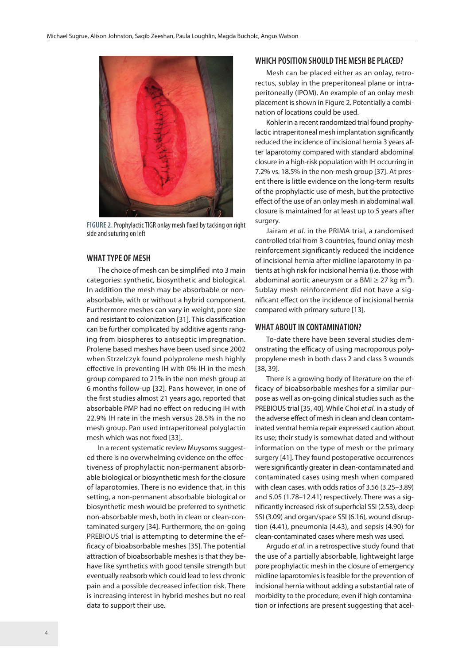

**FIGURE 2.** Prophylactic TIGR onlay mesh fixed by tacking on right side and suturing on left

## **WHAT TYPE OF MESH**

The choice of mesh can be simplified into 3 main categories: synthetic, biosynthetic and biological. In addition the mesh may be absorbable or nonabsorbable, with or without a hybrid component. Furthermore meshes can vary in weight, pore size and resistant to colonization [31]. This classification can be further complicated by additive agents ranging from biospheres to antiseptic impregnation. Prolene based meshes have been used since 2002 when Strzelczyk found polyprolene mesh highly effective in preventing IH with 0% IH in the mesh group compared to 21% in the non mesh group at 6 months follow-up [32]. Pans however, in one of the first studies almost 21 years ago, reported that absorbable PMP had no effect on reducing IH with 22.9% IH rate in the mesh versus 28.5% in the no mesh group. Pan used intraperitoneal polyglactin mesh which was not fixed [33].

In a recent systematic review Muysoms suggested there is no overwhelming evidence on the effectiveness of prophylactic non-permanent absorbable biological or biosynthetic mesh for the closure of laparotomies. There is no evidence that, in this setting, a non-permanent absorbable biological or biosynthetic mesh would be preferred to synthetic non-absorbable mesh, both in clean or clean-contaminated surgery [34]. Furthermore, the on-going PREBIOUS trial is attempting to determine the efficacy of bioabsorbable meshes [35]. The potential attraction of bioabsorbable meshes is that they behave like synthetics with good tensile strength but eventually reabsorb which could lead to less chronic pain and a possible decreased infection risk. There is increasing interest in hybrid meshes but no real data to support their use.

## **WHICH POSITION SHOULD THE MESH BE PLACED?**

Mesh can be placed either as an onlay, retrorectus, sublay in the preperitoneal plane or intraperitoneally (IPOM). An example of an onlay mesh placement is shown in Figure 2. Potentially a combination of locations could be used.

Kohler in a recent randomized trial found prophylactic intraperitoneal mesh implantation significantly reduced the incidence of incisional hernia 3 years after laparotomy compared with standard abdominal closure in a high-risk population with IH occurring in 7.2% vs. 18.5% in the non-mesh group [37]. At present there is little evidence on the long-term results of the prophylactic use of mesh, but the protective effect of the use of an onlay mesh in abdominal wall closure is maintained for at least up to 5 years after surgery.

Jairam *et al*. in the PRIMA trial, a randomised controlled trial from 3 countries, found onlay mesh reinforcement significantly reduced the incidence of incisional hernia after midline laparotomy in patients at high risk for incisional hernia (i.e. those with abdominal aortic aneurysm or a BMI  $\geq$  27 kg m<sup>-2</sup>). Sublay mesh reinforcement did not have a significant effect on the incidence of incisional hernia compared with primary suture [13].

#### **WHAT ABOUT IN CONTAMINATION?**

To-date there have been several studies demonstrating the efficacy of using macroporous polypropylene mesh in both class 2 and class 3 wounds [38, 39].

There is a growing body of literature on the efficacy of bioabsorbable meshes for a similar purpose as well as on-going clinical studies such as the PREBIOUS trial [35, 40]. While Choi *et al*. in a study of the adverse effect of mesh in clean and clean contaminated ventral hernia repair expressed caution about its use; their study is somewhat dated and without information on the type of mesh or the primary surgery [41]. They found postoperative occurrences were significantly greater in clean-contaminated and contaminated cases using mesh when compared with clean cases, with odds ratios of 3.56 (3.25–3.89) and 5.05 (1.78–12.41) respectively. There was a significantly increased risk of superficial SSI (2.53), deep SSI (3.09) and organ/space SSI (6.16), wound disruption (4.41), pneumonia (4.43), and sepsis (4.90) for clean-contaminated cases where mesh was used.

Argudo *et al*. in a retrospective study found that the use of a partially absorbable, lightweight large pore prophylactic mesh in the closure of emergency midline laparotomies is feasible for the prevention of incisional hernia without adding a substantial rate of morbidity to the procedure, even if high contamination or infections are present suggesting that acel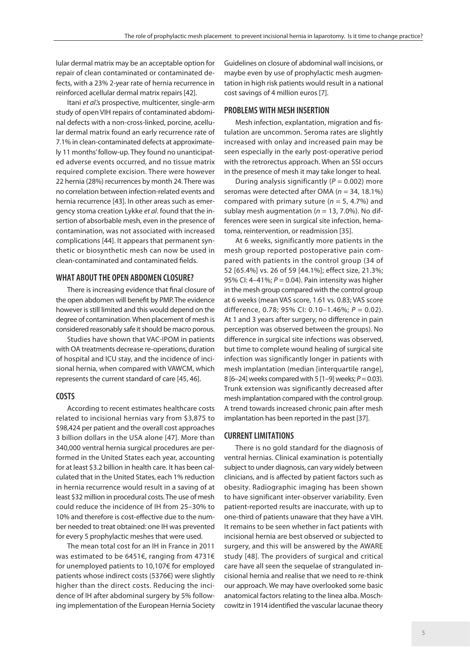lular dermal matrix may be an acceptable option for repair of clean contaminated or contaminated defects, with a 23% 2-year rate of hernia recurrence in reinforced acellular dermal matrix repairs [42].

Itani *et al*.'s prospective, multicenter, single-arm study of open VIH repairs of contaminated abdominal defects with a non-cross-linked, porcine, acellular dermal matrix found an early recurrence rate of 7.1% in clean-contaminated defects at approximately 11 months' follow-up. They found no unanticipated adverse events occurred, and no tissue matrix required complete excision. There were however 22 hernia (28%) recurrences by month 24. There was no correlation between infection-related events and hernia recurrence [43]. In other areas such as emergency stoma creation Lykke *et al*. found that the insertion of absorbable mesh, even in the presence of contamination, was not associated with increased complications [44]. It appears that permanent synthetic or biosynthetic mesh can now be used in clean-contaminated and contaminated fields.

## **WHAT ABOUT THE OPEN ABDOMEN CLOSURE?**

There is increasing evidence that final closure of the open abdomen will benefit by PMP. The evidence however is still limited and this would depend on the degree of contamination. When placement of mesh is considered reasonably safe it should be macro porous.

Studies have shown that VAC-IPOM in patients with OA treatments decrease re-operations, duration of hospital and ICU stay, and the incidence of incisional hernia, when compared with VAWCM, which represents the current standard of care [45, 46].

## **COSTS**

According to recent estimates healthcare costs related to incisional hernias vary from \$3,875 to \$98,424 per patient and the overall cost approaches 3 billion dollars in the USA alone [47]. More than 340,000 ventral hernia surgical procedures are performed in the United States each year, accounting for at least \$3.2 billion in health care. It has been calculated that in the United States, each 1% reduction in hernia recurrence would result in a saving of at least \$32 million in procedural costs. The use of mesh could reduce the incidence of IH from 25–30% to 10% and therefore is cost-effective due to the number needed to treat obtained: one IH was prevented for every 5 prophylactic meshes that were used.

The mean total cost for an IH in France in 2011 was estimated to be 6451€, ranging from 4731€ for unemployed patients to 10,107€ for employed patients whose indirect costs (5376€) were slightly higher than the direct costs. Reducing the incidence of IH after abdominal surgery by 5% following implementation of the European Hernia Society Guidelines on closure of abdominal wall incisions, or maybe even by use of prophylactic mesh augmentation in high risk patients would result in a national cost savings of 4 million euros [7].

### **PROBLEMS WITH MESH INSERTION**

Mesh infection, explantation, migration and fistulation are uncommon. Seroma rates are slightly increased with onlay and increased pain may be seen especially in the early post-operative period with the retrorectus approach. When an SSI occurs in the presence of mesh it may take longer to heal.

During analysis significantly (*P* = 0.002) more seromas were detected after OMA (*n* = 34, 18.1%) compared with primary suture (*n* = 5, 4.7%) and sublay mesh augmentation (*n* = 13, 7.0%). No differences were seen in surgical site infection, hematoma, reintervention, or readmission [35].

At 6 weeks, significantly more patients in the mesh group reported postoperative pain compared with patients in the control group (34 of 52 [65.4%] vs. 26 of 59 [44.1%]; effect size, 21.3%; 95% CI: 4–41%; *P* = 0.04). Pain intensity was higher in the mesh group compared with the control group at 6 weeks (mean VAS score, 1.61 vs. 0.83; VAS score difference, 0.78; 95% CI: 0.10–1.46%; *P* = 0.02). At 1 and 3 years after surgery, no difference in pain perception was observed between the groups). No difference in surgical site infections was observed, but time to complete wound healing of surgical site infection was significantly longer in patients with mesh implantation (median [interquartile range], 8 [6–24] weeks compared with 5 [1–9] weeks; *P* = 0.03). Trunk extension was significantly decreased after mesh implantation compared with the control group. A trend towards increased chronic pain after mesh implantation has been reported in the past [37].

## **CURRENT LIMITATIONS**

There is no gold standard for the diagnosis of ventral hernias. Clinical examination is potentially subject to under diagnosis, can vary widely between clinicians, and is affected by patient factors such as obesity. Radiographic imaging has been shown to have significant inter-observer variability. Even patient-reported results are inaccurate, with up to one-third of patients unaware that they have a VIH. It remains to be seen whether in fact patients with incisional hernia are best observed or subjected to surgery, and this will be answered by the AWARE study [48]. The providers of surgical and critical care have all seen the sequelae of strangulated incisional hernia and realise that we need to re-think our approach. We may have overlooked some basic anatomical factors relating to the linea alba. Moschcowitz in 1914 identified the vascular lacunae theory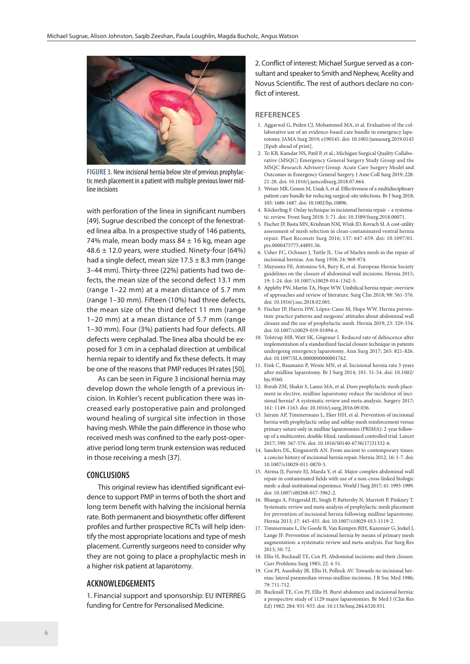

**FIGURE 3.** New incisional hernia below site of previous prophylactic mesh placement in a patient with multiple previous lower midline incisions

with perforation of the linea in significant numbers [49]. Sugrue described the concept of the fenestrated linea alba. In a prospective study of 146 patients, 74% male, mean body mass  $84 \pm 16$  kg, mean age 48.6  $\pm$  12.0 years, were studied. Ninety-four (64%) had a single defect, mean size  $17.5 \pm 8.3$  mm (range 3–44 mm). Thirty-three (22%) patients had two defects, the mean size of the second defect 13.1 mm (range 1–22 mm) at a mean distance of 5.7 mm (range 1–30 mm). Fifteen (10%) had three defects, the mean size of the third defect 11 mm (range 1–20 mm) at a mean distance of 5.7 mm (range 1–30 mm). Four (3%) patients had four defects. All defects were cephalad. The linea alba should be exposed for 3 cm in a cephalad direction at umbilical hernia repair to identify and fix these defects. It may be one of the reasons that PMP reduces IH rates [50].

As can be seen in Figure 3 incisional hernia may develop down the whole length of a previous incision. In Kohler's recent publication there was increased early postoperative pain and prolonged wound healing of surgical site infection in those having mesh. While the pain difference in those who received mesh was confined to the early post-operative period long term trunk extension was reduced in those receiving a mesh [37].

#### **CONCLUSIONS**

This original review has identified significant evidence to support PMP in terms of both the short and long term benefit with halving the incisional hernia rate. Both permanent and biosynthetic offer different profiles and further prospective RCTs will help identify the most appropriate locations and type of mesh placement. Currently surgeons need to consider why they are not going to place a prophylactic mesh in a higher risk patient at laparotomy.

## **ACKNOWLEDGEMENTS**

1. Financial support and sponsorship: EU INTERREG funding for Centre for Personalised Medicine.

2. Conflict of interest: Michael Surgue served as a consultant and speaker to Smith and Nephew, Acelity and Novus Scientific. The rest of authors declare no conflict of interest.

#### **REFERENCES**

- 1. Aggarwal G, Peden CJ, Mohammed MA, et al. Evaluation of the collaborative use of an evidence-based care bundle in emergency laparotomy. JAMA Surg 2019; e190145. doi: 10.1001/jamasurg.2019.0145 [Epub ahead of print].
- 2. To KB, Kamdar NS, Patil P, et al.; Michigan Surgical Quality Collaborative (MSQC) Emergency General Surgery Study Group and the MSQC Research Advisory Group. Acute Care Surgery Model and Outcomes in Emergency General Surgery. J Ame Coll Surg 2019; 228: 21-28. doi: 10.1016/j.jamcollsurg.2018.07.664.
- 3. Weiser MR, Gonen M, Usiak S, et al. Effectiveness of a multidisciplinary patient care bundle for reducing surgical‐site infections. Br J Surg 2018; 105: 1680-1687. doi: 10.1002/bjs.10896.
- 4. Köckerling F. Onlay technique in incisional hernia repair a systematic review. Front Surg 2018; 5: 71. doi: 10.3389/fsurg.2018.00071.
- 5. Fischer JP, Basta MN, Krishnan NM, Wink JD, Kovach SJ. A cost-utility assessment of mesh selection in clean-contaminated ventral hernia repair. Plast Reconstr Surg 2016; 137: 647-659. doi: 10.1097/01. prs.0000475775.44891.56.
- 6. Usher FC, Ochsner J, Tuttle JL. Use of Marlex mesh in the repair of incisional hernias. Am Surg 1958; 24: 969-974.
- 7. Muysoms FE, Antoniou SA, Bury K, et al. European Hernia Society guidelines on the closure of abdominal wall incisions. Hernia 2015; 19: 1-24. doi: 10.1007/s10029-014-1342-5.
- 8. Appleby PW, Martin TA, Hope WW. Umbilical hernia repair: overview of approaches and review of literature. Surg Clin 2018; 98: 561-576. doi: 10.1016/j.suc.2018.02.001.
- 9. Fischer JP, Harris HW, López-Cano M, Hope WW. Hernia prevention: practice patterns and surgeons' attitudes about abdominal wall closure and the use of prophylactic mesh. Hernia 2019; 23: 329-334. doi: 10.1007/s10029-019-01894-z.
- 10. Tolstrup MB, Watt SK, Gögenur I. Reduced rate of dehiscence after implementation of a standardized fascial closure technique in patients undergoing emergency laparotomy. Ann Surg 2017; 265: 821-826. doi: 10.1097/SLA.0000000000001762.
- 11. Fink C, Baumann P, Wente MN, et al. Incisional hernia rate 3 years after midline laparotomy. Br J Surg 2014; 101: 51-54. doi: 10.1002/ bjs.9560.
- 12. Borab ZM, Shakir S, Lanni MA, et al. Does prophylactic mesh placement in elective, midline laparotomy reduce the incidence of incisional hernia? A systematic review and meta-analysis. Surgery 2017; 161: 1149-1163. doi: 10.1016/j.surg.2016.09.036.
- 13. Jairam AP, Timmermans L, Eker HH, et al. Prevention of incisional hernia with prophylactic onlay and sublay mesh reinforcement versus primary suture only in midline laparotomies (PRIMA): 2-year followup of a multicentre, double-blind, randomised controlled trial. Lancet 2017; 390: 567-576. doi: 10.1016/S0140-6736(17)31332-6.
- 14. Sanders DL, Kingsnorth AN. From ancient to contemporary times: a concise history of incisional hernia repair. Hernia 2012; 16: 1-7. doi: 10.1007/s10029-011-0870-5.
- 15. Atema JJ, Furnée EJ, Maeda Y, et al. Major complex abdominal wall repair in contaminated fields with use of a non-cross-linked biologic mesh: a dual-institutional experience. World J Surg 2017; 41: 1993-1999. doi: 10.1007/s00268-017-3962-2.
- 16. Bhangu A, Fitzgerald JE, Singh P, Battersby N, Marriott P, Pinkney T. Systematic review and meta-analysis of prophylactic mesh placement for prevention of incisional hernia following midline laparotomy. Hernia 2013; 17: 445-455. doi: 10.1007/s10029-013-1119-2.
- 17. Timmermans L, De Goede B, Van Kempen BJH, Kazemier G, Jeekel J, Lange JF. Prevention of incisional hernia by means of primary mesh augmentation: a systematic review and meta-analysis. Eur Surg Res 2013; 50: 72.
- 18. Ellis H, Bucknall TE, Cox PJ. Abdominal incisions and their closure. Curr Problems Surg 1985; 22: 4-51.
- 19. Cox PJ, Ausobsky JR, Ellis H, Pollock AV. Towards no incisional hernias: lateral paramedian versus midline incisions. J R Soc Med 1986; 79: 711-712.
- 20. Bucknall TE, Cox PJ, Ellis H. Burst abdomen and incisional hernia: a prospective study of 1129 major laparotomies. Br Med J (Clin Res Ed) 1982; 284: 931-933. doi: 10.1136/bmj.284.6320.931.